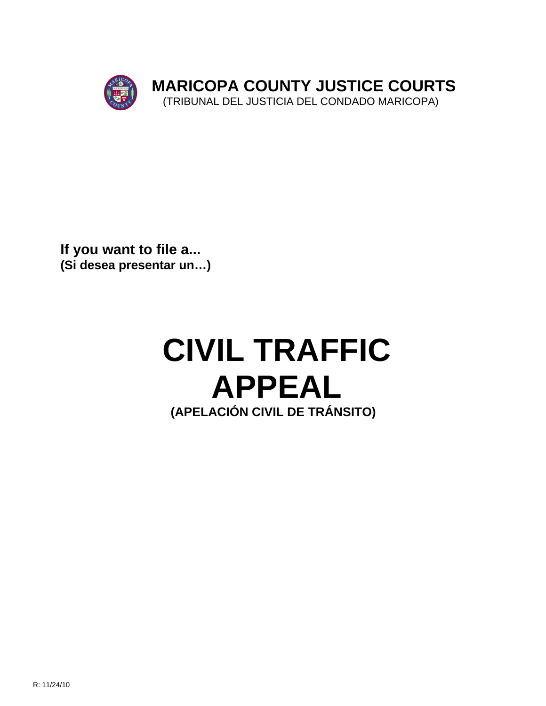

**If you want to file a... (Si desea presentar un…)**

## **CIVIL TRAFFIC APPEAL (APELACIÓN CIVIL DE TRÁNSITO)**